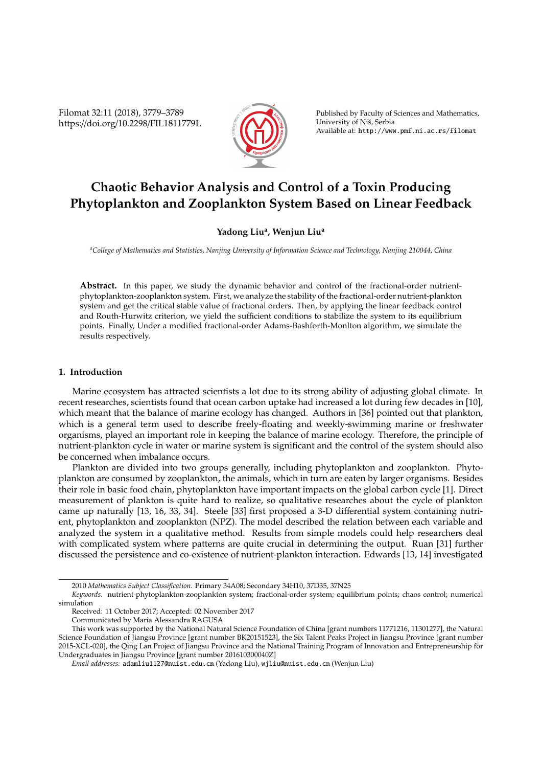Filomat 32:11 (2018), 3779–3789 https://doi.org/10.2298/FIL1811779L



Published by Faculty of Sciences and Mathematics, University of Niš, Serbia Available at: http://www.pmf.ni.ac.rs/filomat

# **Chaotic Behavior Analysis and Control of a Toxin Producing Phytoplankton and Zooplankton System Based on Linear Feedback**

### **Yadong Liu<sup>a</sup> , Wenjun Liu<sup>a</sup>**

*<sup>a</sup>College of Mathematics and Statistics, Nanjing University of Information Science and Technology, Nanjing 210044, China*

**Abstract.** In this paper, we study the dynamic behavior and control of the fractional-order nutrientphytoplankton-zooplankton system. First, we analyze the stability of the fractional-order nutrient-plankton system and get the critical stable value of fractional orders. Then, by applying the linear feedback control and Routh-Hurwitz criterion, we yield the sufficient conditions to stabilize the system to its equilibrium points. Finally, Under a modified fractional-order Adams-Bashforth-Monlton algorithm, we simulate the results respectively.

#### **1. Introduction**

Marine ecosystem has attracted scientists a lot due to its strong ability of adjusting global climate. In recent researches, scientists found that ocean carbon uptake had increased a lot during few decades in [10], which meant that the balance of marine ecology has changed. Authors in [36] pointed out that plankton, which is a general term used to describe freely-floating and weekly-swimming marine or freshwater organisms, played an important role in keeping the balance of marine ecology. Therefore, the principle of nutrient-plankton cycle in water or marine system is significant and the control of the system should also be concerned when imbalance occurs.

Plankton are divided into two groups generally, including phytoplankton and zooplankton. Phytoplankton are consumed by zooplankton, the animals, which in turn are eaten by larger organisms. Besides their role in basic food chain, phytoplankton have important impacts on the global carbon cycle [1]. Direct measurement of plankton is quite hard to realize, so qualitative researches about the cycle of plankton came up naturally [13, 16, 33, 34]. Steele [33] first proposed a 3-D differential system containing nutrient, phytoplankton and zooplankton (NPZ). The model described the relation between each variable and analyzed the system in a qualitative method. Results from simple models could help researchers deal with complicated system where patterns are quite crucial in determining the output. Ruan [31] further discussed the persistence and co-existence of nutrient-plankton interaction. Edwards [13, 14] investigated

<sup>2010</sup> *Mathematics Subject Classification*. Primary 34A08; Secondary 34H10, 37D35, 37N25

*Keywords*. nutrient-phytoplankton-zooplankton system; fractional-order system; equilibrium points; chaos control; numerical simulation

Received: 11 October 2017; Accepted: 02 November 2017

Communicated by Maria Alessandra RAGUSA

This work was supported by the National Natural Science Foundation of China [grant numbers 11771216, 11301277], the Natural Science Foundation of Jiangsu Province [grant number BK20151523], the Six Talent Peaks Project in Jiangsu Province [grant number 2015-XCL-020], the Qing Lan Project of Jiangsu Province and the National Training Program of Innovation and Entrepreneurship for Undergraduates in Jiangsu Province [grant number 201610300040Z]

*Email addresses:* adamliu1127@nuist.edu.cn (Yadong Liu), wjliu@nuist.edu.cn (Wenjun Liu)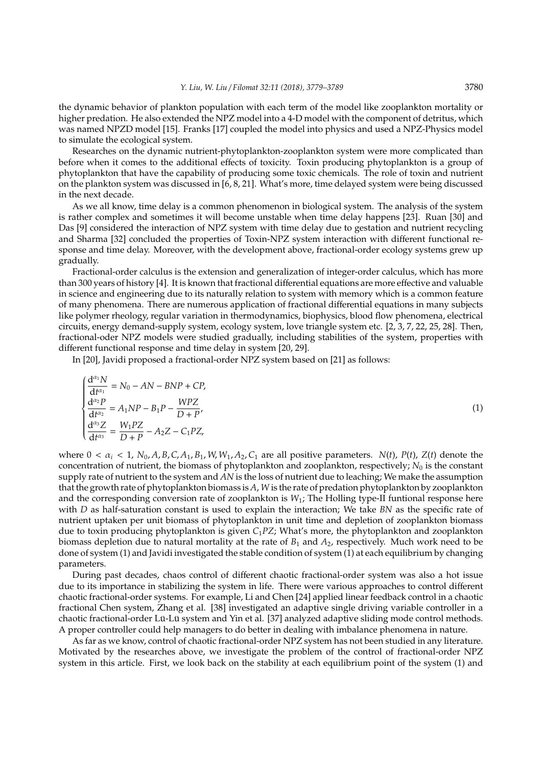the dynamic behavior of plankton population with each term of the model like zooplankton mortality or higher predation. He also extended the NPZ model into a 4-D model with the component of detritus, which was named NPZD model [15]. Franks [17] coupled the model into physics and used a NPZ-Physics model to simulate the ecological system.

Researches on the dynamic nutrient-phytoplankton-zooplankton system were more complicated than before when it comes to the additional effects of toxicity. Toxin producing phytoplankton is a group of phytoplankton that have the capability of producing some toxic chemicals. The role of toxin and nutrient on the plankton system was discussed in [6, 8, 21]. What's more, time delayed system were being discussed in the next decade.

As we all know, time delay is a common phenomenon in biological system. The analysis of the system is rather complex and sometimes it will become unstable when time delay happens [23]. Ruan [30] and Das [9] considered the interaction of NPZ system with time delay due to gestation and nutrient recycling and Sharma [32] concluded the properties of Toxin-NPZ system interaction with different functional response and time delay. Moreover, with the development above, fractional-order ecology systems grew up gradually.

Fractional-order calculus is the extension and generalization of integer-order calculus, which has more than 300 years of history [4]. It is known that fractional differential equations are more effective and valuable in science and engineering due to its naturally relation to system with memory which is a common feature of many phenomena. There are numerous application of fractional differential equations in many subjects like polymer rheology, regular variation in thermodynamics, biophysics, blood flow phenomena, electrical circuits, energy demand-supply system, ecology system, love triangle system etc. [2, 3, 7, 22, 25, 28]. Then, fractional-oder NPZ models were studied gradually, including stabilities of the system, properties with different functional response and time delay in system [20, 29].

In [20], Javidi proposed a fractional-order NPZ system based on [21] as follows:

 $\sqrt{ }$  $\left\{\right.$ 

 $\begin{array}{c} \hline \end{array}$ 

$$
\frac{d^{a_1}N}{dt^{a_1}} = N_0 - AN - BNP + CP,
$$
\n
$$
\frac{d^{a_2}P}{dt^{a_2}} = A_1NP - B_1P - \frac{WPZ}{D+P'},
$$
\n
$$
\frac{d^{a_3}Z}{dt^{a_3}} = \frac{W_1PZ}{D+P} - A_2Z - C_1PZ,
$$
\n(1)

where  $0 < \alpha_i < 1$ ,  $N_0$ , A, B, C, A<sub>1</sub>, B<sub>1</sub>, W, W<sub>1</sub>, A<sub>2</sub>, C<sub>1</sub> are all positive parameters. N(t), P(t), Z(t) denote the concentration of nutrient, the biomass of phytoplankton and zooplankton, respectively; N<sub>0</sub> is the constant supply rate of nutrient to the system and *AN* is the loss of nutrient due to leaching; We make the assumption that the growth rate of phytoplankton biomass is *A*, *W* is the rate of predation phytoplankton by zooplankton and the corresponding conversion rate of zooplankton is  $W_1$ ; The Holling type-II funtional response here with *D* as half-saturation constant is used to explain the interaction; We take *BN* as the specific rate of nutrient uptaken per unit biomass of phytoplankton in unit time and depletion of zooplankton biomass due to toxin producing phytoplankton is given *C*1*PZ*; What's more, the phytoplankton and zooplankton biomass depletion due to natural mortality at the rate of *B*<sup>1</sup> and *A*2, respectively. Much work need to be done of system (1) and Javidi investigated the stable condition of system (1) at each equilibrium by changing parameters.

During past decades, chaos control of different chaotic fractional-order system was also a hot issue due to its importance in stabilizing the system in life. There were various approaches to control different chaotic fractional-order systems. For example, Li and Chen [24] applied linear feedback control in a chaotic fractional Chen system, Zhang et al. [38] investigated an adaptive single driving variable controller in a chaotic fractional-order Lü-Lü system and Yin et al. [37] analyzed adaptive sliding mode control methods. A proper controller could help managers to do better in dealing with imbalance phenomena in nature.

As far as we know, control of chaotic fractional-order NPZ system has not been studied in any literature. Motivated by the researches above, we investigate the problem of the control of fractional-order NPZ system in this article. First, we look back on the stability at each equilibrium point of the system (1) and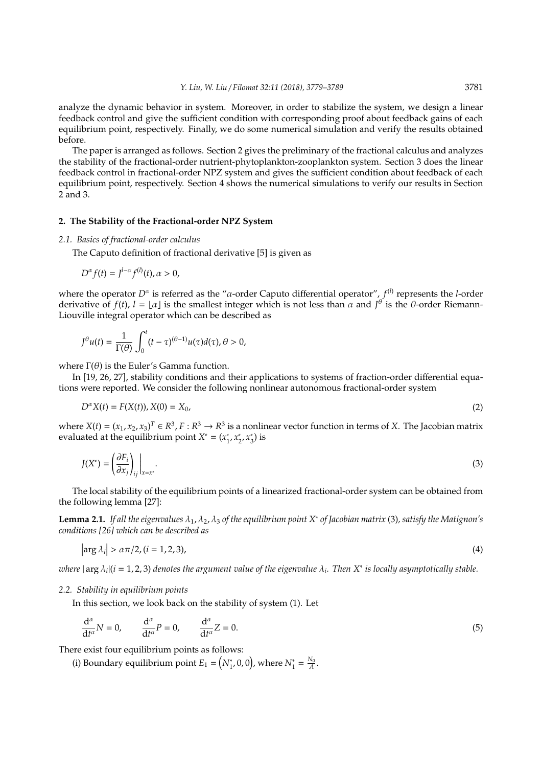analyze the dynamic behavior in system. Moreover, in order to stabilize the system, we design a linear feedback control and give the sufficient condition with corresponding proof about feedback gains of each equilibrium point, respectively. Finally, we do some numerical simulation and verify the results obtained before.

The paper is arranged as follows. Section 2 gives the preliminary of the fractional calculus and analyzes the stability of the fractional-order nutrient-phytoplankton-zooplankton system. Section 3 does the linear feedback control in fractional-order NPZ system and gives the sufficient condition about feedback of each equilibrium point, respectively. Section 4 shows the numerical simulations to verify our results in Section 2 and 3.

#### **2. The Stability of the Fractional-order NPZ System**

#### *2.1. Basics of fractional-order calculus*

The Caputo definition of fractional derivative [5] is given as

$$
D^{\alpha} f(t) = J^{l-\alpha} f^{(l)}(t), \alpha > 0,
$$

where the operator *D<sup>α</sup>* is referred as the "*α*-order Caputo differential operator", *f*<sup>(*l*)</sup> represents the *l*-order derivative of  $f(t)$ ,  $l = \lfloor \alpha \rfloor$  is the smallest integer which is not less than  $\alpha$  and  $J^{\theta}$  is the  $\theta$ -order Riemann-Liouville integral operator which can be described as

$$
J^{\theta}u(t)=\frac{1}{\Gamma(\theta)}\int_0^t(t-\tau)^{(\theta-1)}u(\tau)d(\tau),\theta>0,
$$

where  $\Gamma(\theta)$  is the Euler's Gamma function.

In [19, 26, 27], stability conditions and their applications to systems of fraction-order differential equations were reported. We consider the following nonlinear autonomous fractional-order system

$$
D^{\alpha}X(t) = F(X(t)), X(0) = X_0,
$$
\n(2)

where  $X(t) = (x_1, x_2, x_3)^T \in R^3$ ,  $F: R^3 \to R^3$  is a nonlinear vector function in terms of *X*. The Jacobian matrix evaluated at the equilibrium point  $X^* = (x_1^*)$  $_{1}^{*}, x_{2}^{*}$ 2 , *x* ∗  $_{3}^{*}$ ) is

$$
J(X^*) = \left(\frac{\partial F_i}{\partial x_j}\right)_{ij}\Big|_{x=x^*}.\tag{3}
$$

The local stability of the equilibrium points of a linearized fractional-order system can be obtained from the following lemma [27]:

**Lemma 2.1.** *If all the eigenvalues* λ1, λ2, λ<sup>3</sup> *of the equilibrium point X*<sup>∗</sup> *of Jacobian matrix* (3)*, satisfy the Matignon's conditions [26] which can be described as*

$$
\left|\arg \lambda_i\right| > \alpha \pi/2, \quad (i = 1, 2, 3),\tag{4}
$$

 $\omega$ here  $|\arg \lambda_i|(i = 1, 2, 3)$  denotes the argument value of the eigenvalue  $\lambda_i$ . Then  $X^*$  is locally asymptotically stable.

#### *2.2. Stability in equilibrium points*

 $\mathbf{r}$ 

In this section, we look back on the stability of system (1). Let

$$
\frac{d^{\alpha}}{dt^{\alpha}}N=0, \qquad \frac{d^{\alpha}}{dt^{\alpha}}P=0, \qquad \frac{d^{\alpha}}{dt^{\alpha}}Z=0.
$$
\n(5)

There exist four equilibrium points as follows:

(i) Boundary equilibrium point  $E_1 = (N_1^*, 0, 0)$ , where  $N_1^* = \frac{N_0}{A}$ .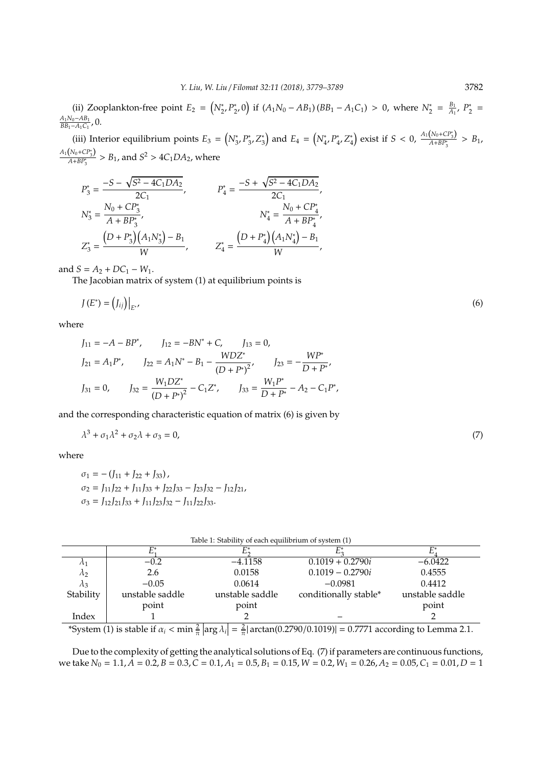(ii) Zooplankton-free point  $E_2 = (N_2^*, P_2^*)$ <sup>\*</sup><sub>2</sub>, 0) if (*A*<sub>1</sub>*N*<sub>0</sub> − *AB*<sub>1</sub>) (*BB*<sub>1</sub> − *A*<sub>1</sub>C<sub>1</sub>) > 0, where  $N_2^* = \frac{B_1}{A_1}$  $\frac{B_1}{A_1}$ ,  $P_2^*$  $\frac{1}{2}$  = *A*1*N*0−*AB*<sup>1</sup>  $\frac{A_1 N_0 - A_1 B_1}{B_1 - A_1 C_1}$ , 0.

(iii) Interior equilibrium points  $E_3 = (N^*_3, P^*_3)$ 3 ,*Z* ∗ <sup>\*</sup><sub>3</sub> $\big)$  and  $E_4 = \big(N_4^*, P_4^*$ 4 ,*Z* ∗  $\binom{4}{4}$  exist if *S* < 0,  $\frac{A_1(N_0 + CP_3^*)}{A + BP_3^*}$  $\frac{A+BP_3^*}{A+BP_3^*} > B_1$  $A_1(N_0 + CP_3^*)$  $\frac{A}{A+BP_3^*} > B_1$ , and  $S^2 > 4C_1DA_2$ , where

$$
\begin{aligned} P_3^* &= \frac{-S - \sqrt{S^2 - 4C_1DA_2}}{2C_1}, & P_4^* &= \frac{-S + \sqrt{S^2 - 4C_1DA_2}}{2C_1}, \\ N_3^* &= \frac{N_0 + CP_3^*}{A + BP_3^*}, & N_4^* &= \frac{N_0 + CP_4^*}{A + BP_4^*}, \\ Z_3^* &= \frac{\left(D + P_3^*\right)\left(A_1N_3^*\right) - B_1}{W}, & Z_4^* &= \frac{\left(D + P_4^*\right)\left(A_1N_4^*\right) - B_1}{W}, \end{aligned}
$$

and  $S = A_2 + DC_1 - W_1$ .

The Jacobian matrix of system (1) at equilibrium points is

$$
J(E^*) = (J_{ij})\big|_{E^*},\tag{6}
$$

where

$$
J_{11} = -A - BP^*, \t J_{12} = -BN^* + C, \t J_{13} = 0,
$$
  
\n
$$
J_{21} = A_1P^*, \t J_{22} = A_1N^* - B_1 - \frac{WDZ^*}{(D + P^*)^2}, \t J_{23} = -\frac{WP^*}{D + P^*},
$$
  
\n
$$
J_{31} = 0, \t J_{32} = \frac{W_1DZ^*}{(D + P^*)^2} - C_1Z^*, \t J_{33} = \frac{W_1P^*}{D + P^*} - A_2 - C_1P^*,
$$

and the corresponding characteristic equation of matrix (6) is given by

$$
\lambda^3 + \sigma_1 \lambda^2 + \sigma_2 \lambda + \sigma_3 = 0,\tag{7}
$$

where

$$
\sigma_1 = -(J_{11} + J_{22} + J_{33}),
$$
  
\n
$$
\sigma_2 = J_{11}J_{22} + J_{11}J_{33} + J_{22}J_{33} - J_{23}J_{32} - J_{12}J_{21},
$$
  
\n
$$
\sigma_3 = J_{12}J_{21}J_{33} + J_{11}J_{23}J_{32} - J_{11}J_{22}J_{33}.
$$

| Table 1: Stability of each equilibrium of system (1) |  |  |
|------------------------------------------------------|--|--|
|------------------------------------------------------|--|--|

| $\Lambda_1$                                                                                                      | $-0.2$          | $-4.1158$       | $0.1019 + 0.2790i$    | $-6.0422$       |  |
|------------------------------------------------------------------------------------------------------------------|-----------------|-----------------|-----------------------|-----------------|--|
| Лэ                                                                                                               | 2.6             | 0.0158          | $0.1019 - 0.2790i$    | 0.4555          |  |
| $\Lambda_3$                                                                                                      | $-0.05$         | 0.0614          | $-0.0981$             | 0.4412          |  |
| Stability                                                                                                        | unstable saddle | unstable saddle | conditionally stable* | unstable saddle |  |
|                                                                                                                  | point           | point           |                       | point           |  |
| Index                                                                                                            |                 |                 |                       |                 |  |
| ຳ.<br>$\sim$ $\sim$ $\sim$ $\sim$ $\sim$ $\sim$ $\sim$<br>$\cdots$<br>$\sim$ $\sim$ $\sim$<br>$\sim$ ----<br>- - |                 |                 |                       |                 |  |

\*System (1) is stable if  $\alpha_i < \min \frac{2}{\pi} \left| \arg \lambda_i \right| = \frac{2}{\pi} |\arctan(0.2790/0.1019)| = 0.7771$  according to Lemma 2.1.

Due to the complexity of getting the analytical solutions of Eq. (7) if parameters are continuous functions, we take  $N_0 = 1.1$ ,  $\hat{A} = 0.2$ ,  $B = 0.3$ ,  $\hat{C} = 0.1$ ,  $A_1 = 0.5$ ,  $B_1 = 0.15$ ,  $W = 0.2$ ,  $W_1 = 0.26$ ,  $A_2 = 0.05$ ,  $C_1 = 0.01$ ,  $D = 1$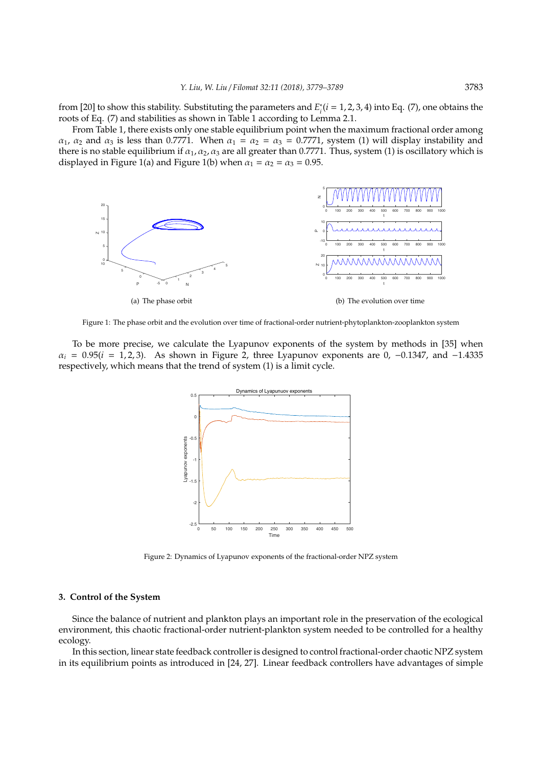from [20] to show this stability. Substituting the parameters and *E*<sup>\*</sup><sub>i</sub>  $i_i^*(i = 1, 2, 3, 4)$  into Eq. (7), one obtains the roots of Eq. (7) and stabilities as shown in Table 1 according to Lemma 2.1.

From Table 1, there exists only one stable equilibrium point when the maximum fractional order among  $\alpha_1$ ,  $\alpha_2$  and  $\alpha_3$  is less than 0.7771. When  $\alpha_1 = \alpha_2 = \alpha_3 = 0.7771$ , system (1) will display instability and there is no stable equilibrium if  $\alpha_1, \alpha_2, \alpha_3$  are all greater than 0.7771. Thus, system (1) is oscillatory which is displayed in Figure 1(a) and Figure 1(b) when  $\alpha_1 = \alpha_2 = \alpha_3 = 0.95$ .



Figure 1: The phase orbit and the evolution over time of fractional-order nutrient-phytoplankton-zooplankton system

To be more precise, we calculate the Lyapunov exponents of the system by methods in [35] when  $\alpha_i$  = 0.95(*i* = 1, 2, 3). As shown in Figure 2, three Lyapunov exponents are 0, -0.1347, and -1.4335 respectively, which means that the trend of system (1) is a limit cycle.



Figure 2: Dynamics of Lyapunov exponents of the fractional-order NPZ system

### **3. Control of the System**

Since the balance of nutrient and plankton plays an important role in the preservation of the ecological environment, this chaotic fractional-order nutrient-plankton system needed to be controlled for a healthy ecology.

In this section, linear state feedback controller is designed to control fractional-order chaotic NPZ system in its equilibrium points as introduced in [24, 27]. Linear feedback controllers have advantages of simple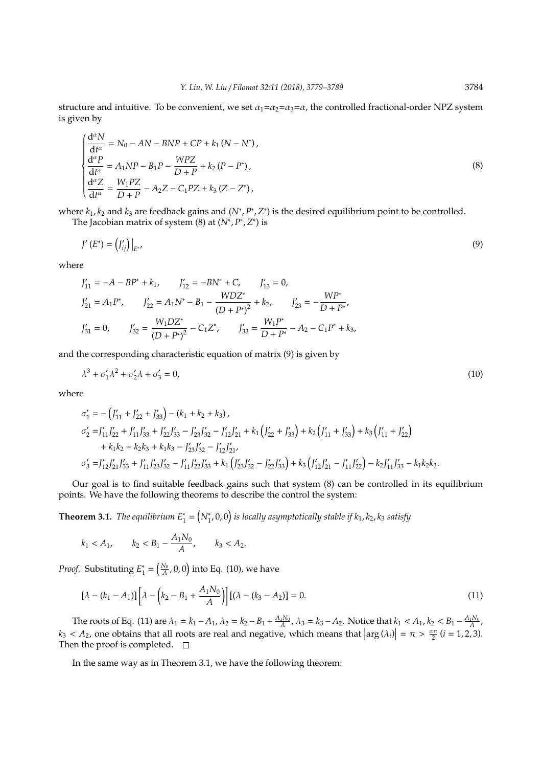structure and intuitive. To be convenient, we set  $\alpha_1 = \alpha_2 = \alpha_3 = \alpha$ , the controlled fractional-order NPZ system is given by

$$
\begin{cases}\n\frac{d^{\alpha}N}{dt^{\alpha}} = N_0 - AN - BNP + CP + k_1 (N - N^*), \\
\frac{d^{\alpha}P}{dt^{\alpha}} = A_1 NP - B_1 P - \frac{W P Z}{D + P} + k_2 (P - P^*), \\
\frac{d^{\alpha}Z}{dt^{\alpha}} = \frac{W_1 P Z}{D + P} - A_2 Z - C_1 P Z + k_3 (Z - Z^*),\n\end{cases}
$$
\n(8)

where  $k_1, k_2$  and  $k_3$  are feedback gains and  $(N^*, P^*, Z^*)$  is the desired equilibrium point to be controlled. The Jacobian matrix of system  $(8)$  at  $(N^*, P^*, Z^*)$  is

$$
J'(E^*) = (I'_{ij})\big|_{E^{*}}\tag{9}
$$

where

$$
J'_{11} = -A - BP^* + k_1, \t J'_{12} = -BN^* + C, \t J'_{13} = 0,
$$
  
\n
$$
J'_{21} = A_1P^*, \t J'_{22} = A_1N^* - B_1 - \frac{WDZ^*}{(D + P^*)^2} + k_2, \t J'_{23} = -\frac{WP^*}{D + P^*},
$$
  
\n
$$
J'_{31} = 0, \t J'_{32} = \frac{W_1DZ^*}{(D + P^*)^2} - C_1Z^*, \t J'_{33} = \frac{W_1P^*}{D + P^*} - A_2 - C_1P^* + k_3,
$$

and the corresponding characteristic equation of matrix (9) is given by

$$
\lambda^3 + \sigma_1' \lambda^2 + \sigma_2' \lambda + \sigma_3' = 0,\tag{10}
$$

where

$$
\sigma'_{1} = -\left(J'_{11} + J'_{22} + J'_{33}\right) - \left(k_{1} + k_{2} + k_{3}\right),
$$
\n
$$
\sigma'_{2} = J'_{11}J'_{22} + J'_{11}J'_{33} + J'_{22}J'_{33} - J'_{23}J'_{32} - J'_{12}J'_{21} + k_{1}\left(J'_{22} + J'_{33}\right) + k_{2}\left(J'_{11} + J'_{33}\right) + k_{3}\left(J'_{11} + J'_{22}\right)
$$
\n
$$
+ k_{1}k_{2} + k_{2}k_{3} + k_{1}k_{3} - J'_{23}J'_{32} - J'_{12}J'_{21},
$$
\n
$$
\sigma'_{3} = J'_{12}J'_{21}J'_{33} + J'_{11}J'_{23}J'_{32} - J'_{11}J'_{22}J'_{33} + k_{1}\left(J'_{23}J'_{32} - J'_{22}J'_{33}\right) + k_{3}\left(J'_{12}J'_{21} - J'_{11}J'_{22}\right) - k_{2}J'_{11}J'_{33} - k_{1}k_{2}k_{3}.
$$

Our goal is to find suitable feedback gains such that system (8) can be controlled in its equilibrium points. We have the following theorems to describe the control the system:

**Theorem 3.1.** *The equilibrium*  $E_1^* = (N_1^*, 0, 0)$  *is locally asymptotically stable if*  $k_1, k_2, k_3$  *satisfy* 

$$
k_1 < A_1
$$
,  $k_2 < B_1 - \frac{A_1 N_0}{A}$ ,  $k_3 < A_2$ .

*Proof.* Substituting *E* ∗  $\mathcal{L}_1^* = \left(\frac{N_0}{A}, 0, 0\right)$  into Eq. (10), we have

$$
[\lambda - (k_1 - A_1)] [\lambda - (k_2 - B_1 + \frac{A_1 N_0}{A})] [(\lambda - (k_3 - A_2)] = 0.
$$
 (11)

The roots of Eq. (11) are  $\lambda_1 = k_1 - A_1$ ,  $\lambda_2 = k_2 - B_1 + \frac{A_1 N_0}{A}$ ,  $\lambda_3 = k_3 - A_2$ . Notice that  $k_1 < A_1$ ,  $k_2 < B_1 - \frac{A_1 N_0}{A}$ ,  $k_3 < A_2$ , one obtains that all roots are real and negative, which means that  $\left|\arg(\lambda_i)\right| = \pi > \frac{\alpha \pi}{2}$  (*i* = 1, 2, 3). Then the proof is completed.  $\square$ 

In the same way as in Theorem 3.1, we have the following theorem: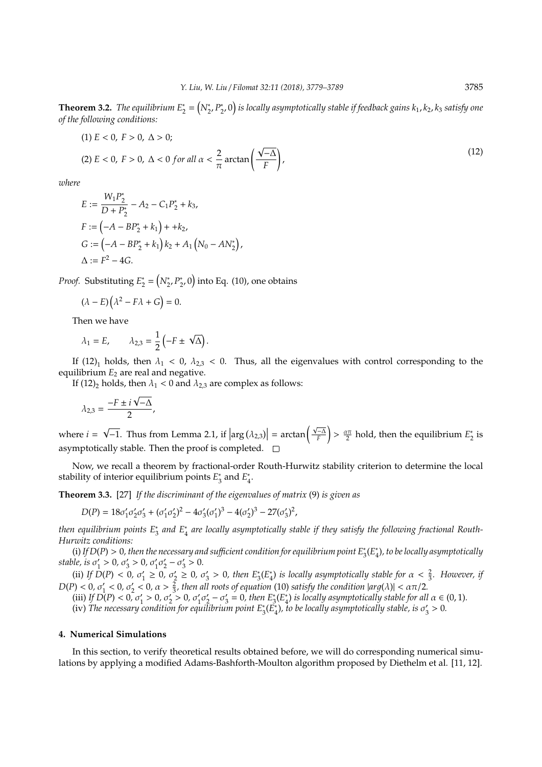**Theorem 3.2.** *The equilibrium*  $E_2^* = (N_2^*, P_2^*)$ 2 , 0 *is locally asymptotically stable if feedback gains k*1, *k*2, *k*<sup>3</sup> *satisfy one of the following conditions:*

(1) 
$$
E < 0
$$
,  $F > 0$ ,  $\Delta > 0$ ;  
\n(2)  $E < 0$ ,  $F > 0$ ,  $\Delta < 0$  for all  $\alpha < \frac{2}{\pi}$  arctan $\left(\frac{\sqrt{-\Delta}}{F}\right)$ , (12)

*where*

$$
E := \frac{W_1 P_2^*}{D + P_2^*} - A_2 - C_1 P_2^* + k_3,
$$
  
\n
$$
F := (-A - BP_2^* + k_1) + + k_2,
$$
  
\n
$$
G := (-A - BP_2^* + k_1) k_2 + A_1 (N_0 - AN_2^*),
$$
  
\n
$$
\Delta := F^2 - 4G.
$$

*Proof.* Substituting *E* ∗  $\frac{1}{2} = \left(N_2^*, P_2^*\right)$  $\binom{2}{2}$ , 0) into Eq. (10), one obtains

$$
(\lambda - E)\left(\lambda^2 - F\lambda + G\right) = 0.
$$

Then we have

$$
\lambda_1 = E, \qquad \lambda_{2,3} = \frac{1}{2} \left( -F \pm \sqrt{\Delta} \right).
$$

If (12)<sub>1</sub> holds, then  $\lambda_1$  < 0,  $\lambda_{2,3}$  < 0. Thus, all the eigenvalues with control corresponding to the equilibrium  $E_2$  are real and negative.

If (12)<sub>2</sub> holds, then  $\lambda_1 < 0$  and  $\lambda_{2,3}$  are complex as follows:

$$
\lambda_{2,3} = \frac{-F \pm i \sqrt{-\Delta}}{2},
$$

where *i* = √  $\boxed{-1}$ . Thus from Lemma 2.1, if  $\left|\arg(\lambda_{2,3})\right| = \arctan\left(\frac{\sqrt{-\Delta}}{F}\right)$  $\left( \frac{a\pi}{2} \text{ hold, then the equilibrium } E_2^* \right)$  $\frac{1}{2}$  is asymptotically stable. Then the proof is completed.  $\square$ 

Now, we recall a theorem by fractional-order Routh-Hurwitz stability criterion to determine the local stability of interior equilibrium points *E* ∗  $_3^*$  and  $E_4^*$ 4 .

**Theorem 3.3.** [27] *If the discriminant of the eigenvalues of matrix* (9) *is given as*

$$
D(P) = 18\sigma'_1\sigma'_2\sigma'_3 + (\sigma'_1\sigma'_2)^2 - 4\sigma'_3(\sigma'_1)^3 - 4(\sigma'_2)^3 - 27(\sigma'_3)^2,
$$

then equilibrium points E<sub>3</sub> and E<sub>4</sub> are locally asymptotically stable if they satisfy the following fractional Routh-*Hurwitz conditions:*

(i) If  $D(P) > 0$ , then the necessary and sufficient condition for equilibrium point  $E_3^*(E_4^*$ 4 )*, to be locally asymptotically* stable, is  $\sigma_1'$  $\frac{1}{1} > 0, \sigma'_{3}$  $y'_{3} > 0, \sigma'_{1}$  $i_1' \sigma'_2$  $'_{2} - \sigma'_{3}$  $y'_{3} > 0.$ 

(ii) *If*  $D(P) < 0$ ,  $\sigma_1$  $\sigma'_1 \geq 0, \, \sigma'_2$  $y_2 \geq 0, \, \sigma_3'$  $S_3$  > 0, then  $E_3^*(E_4^*)$  $_{4}^{*}$ ) *is locally asymptotically stable for*  $\alpha < \frac{2}{3}$ *. However, if*  $D(P) < 0$ ,  $\sigma'_1 < 0$ ,  $\sigma'_2 < 0$ ,  $\alpha > \frac{2}{3}$ , then all roots of equation (10) satisfy the condition  $|arg(\lambda)| < \alpha \pi/2$ .

(iii) *If*  $D(P) < 0$ ,  $\sigma'_1 > 0$ ,  $\sigma'_2$  $y'_1 > 0, \sigma'_2$  $y_2 > 0, \sigma'_1$  $'_{1}\sigma'_{2}$  $\frac{1}{2} - \sigma_3'$  $S_3 = 0$ , then  $E_3^*(E_4^*)$  $\binom{4}{4}$  *is locally asymptotically stable for all*  $\alpha \in (0, 1)$ *.* 

 $(iv)$  *The necessary condition for equilibrium point*  $E_3^*(E_4^*)$ 4 )*, to be locally asymptotically stable, is* σ 0  $y'_{3} > 0.$ 

### **4. Numerical Simulations**

In this section, to verify theoretical results obtained before, we will do corresponding numerical simulations by applying a modified Adams-Bashforth-Moulton algorithm proposed by Diethelm et al. [11, 12].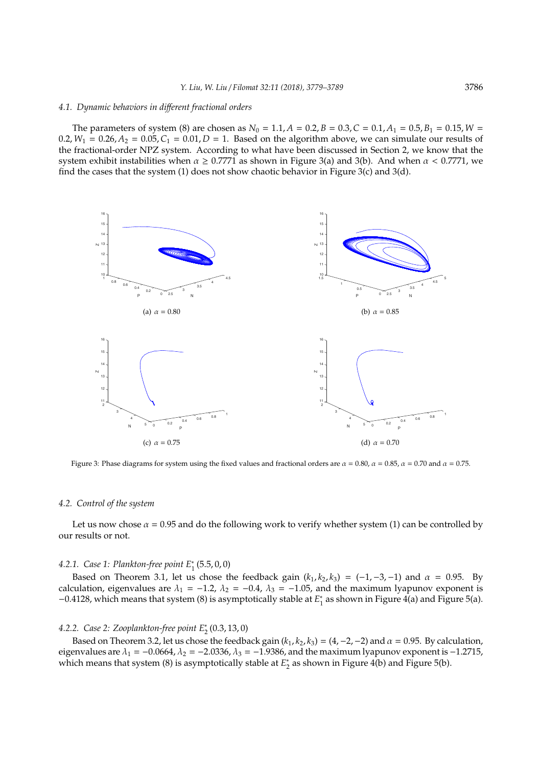#### *4.1. Dynamic behaviors in di*ff*erent fractional orders*

The parameters of system (8) are chosen as  $N_0 = 1.1$ ,  $A = 0.2$ ,  $B = 0.3$ ,  $C = 0.1$ ,  $A_1 = 0.5$ ,  $B_1 = 0.15$ ,  $W =$  $0.2$ ,  $W_1 = 0.26$ ,  $A_2 = 0.05$ ,  $C_1 = 0.01$ ,  $D = 1$ . Based on the algorithm above, we can simulate our results of the fractional-order NPZ system. According to what have been discussed in Section 2, we know that the system exhibit instabilities when  $\alpha \ge 0.7771$  as shown in Figure 3(a) and 3(b). And when  $\alpha < 0.7771$ , we find the cases that the system (1) does not show chaotic behavior in Figure 3(c) and 3(d).



Figure 3: Phase diagrams for system using the fixed values and fractional orders are  $\alpha = 0.80$ ,  $\alpha = 0.85$ ,  $\alpha = 0.75$ .

#### *4.2. Control of the system*

Let us now chose  $\alpha = 0.95$  and do the following work to verify whether system (1) can be controlled by our results or not.

## *4.2.1. Case 1: Plankton-free point E*<sup>∗</sup> 1 (5.5, 0, 0)

Based on Theorem 3.1, let us chose the feedback gain  $(k_1, k_2, k_3) = (-1, -3, -1)$  and  $\alpha = 0.95$ . By calculation, eigenvalues are  $\lambda_1 = -1.2$ ,  $\lambda_2 = -0.4$ ,  $\lambda_3 = -1.05$ , and the maximum lyapunov exponent is −0.4128, which means that system (8) is asymptotically stable at *E* ∗  $_1^*$  as shown in Figure 4(a) and Figure 5(a).

## *4.2.2. Case 2: Zooplankton-free point E*<sup>∗</sup> 2 (0.3, 13, 0)

Based on Theorem 3.2, let us chose the feedback gain  $(k_1, k_2, k_3) = (4, -2, -2)$  and  $\alpha = 0.95$ . By calculation, eigenvalues are  $\lambda_1 = -0.0664$ ,  $\lambda_2 = -2.0336$ ,  $\lambda_3 = -1.9386$ , and the maximum lyapunov exponent is -1.2715, which means that system (8) is asymptotically stable at *E*<sup>\*</sup>  $_2^*$  as shown in Figure 4(b) and Figure 5(b).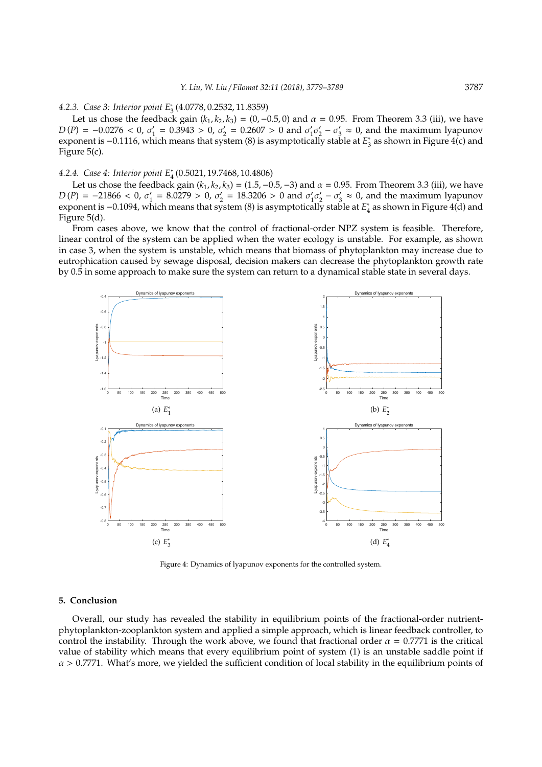## *4.2.3. Case 3: Interior point E*<sup>∗</sup> 3 (4.0778, 0.2532, 11.8359)

Let us chose the feedback gain  $(k_1, k_2, k_3) = (0, -0.5, 0)$  and  $\alpha = 0.95$ . From Theorem 3.3 (iii), we have  $D(P) = -0.0276 < 0, \sigma'_1$  $t'_1 = 0.3943 > 0, \sigma'_2$  $v'_2 = 0.2607 > 0$  and  $\sigma'_1$  $\frac{1}{2}$ <sub>2</sub>  $\frac{1}{2} - \sigma_1'$  $\frac{3}{3} \approx 0$ , and the maximum lyapunov exponent is −0.1116, which means that system (8) is asymptotically stable at *E* ∗  $_3^*$  as shown in Figure 4(c) and Figure 5(c).

## *4.2.4. Case 4: Interior point E*<sup>∗</sup> 4 (0.5021, 19.7468, 10.4806)

Let us chose the feedback gain  $(k_1, k_2, k_3) = (1.5, -0.5, -3)$  and  $\alpha = 0.95$ . From Theorem 3.3 (iii), we have  $D(P) = -21866 < 0, \sigma'_1$  $y'_1 = 8.0279 > 0, \sigma'_2$  $y'_2 = 18.3206 > 0$  and  $\sigma'_1$  $\frac{1}{2}$  $v'_2 - \sigma'_3$  $y'_3 \approx 0$ , and the maximum lyapunov exponent is −0.1094, which means that system (8) is asymptotically stable at *E*<sup>\*</sup><sub>4</sub>  $_4^*$  as shown in Figure  $4(d)$  and Figure 5(d).

From cases above, we know that the control of fractional-order NPZ system is feasible. Therefore, linear control of the system can be applied when the water ecology is unstable. For example, as shown in case 3, when the system is unstable, which means that biomass of phytoplankton may increase due to eutrophication caused by sewage disposal, decision makers can decrease the phytoplankton growth rate by 0.5 in some approach to make sure the system can return to a dynamical stable state in several days.



Figure 4: Dynamics of lyapunov exponents for the controlled system.

#### **5. Conclusion**

Overall, our study has revealed the stability in equilibrium points of the fractional-order nutrientphytoplankton-zooplankton system and applied a simple approach, which is linear feedback controller, to control the instability. Through the work above, we found that fractional order  $\alpha = 0.7771$  is the critical value of stability which means that every equilibrium point of system (1) is an unstable saddle point if  $\alpha$  > 0.7771. What's more, we yielded the sufficient condition of local stability in the equilibrium points of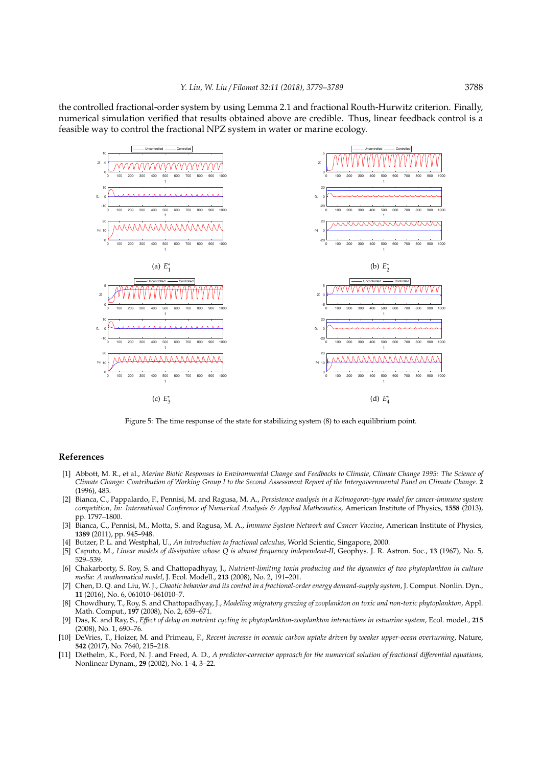the controlled fractional-order system by using Lemma 2.1 and fractional Routh-Hurwitz criterion. Finally, numerical simulation verified that results obtained above are credible. Thus, linear feedback control is a feasible way to control the fractional NPZ system in water or marine ecology.



Figure 5: The time response of the state for stabilizing system (8) to each equilibrium point.

#### **References**

- [1] Abbott, M. R., et al., *Marine Biotic Responses to Environmental Change and Feedbacks to Climate, Climate Change 1995: The Science of Climate Change: Contribution of Working Group I to the Second Assessment Report of the Intergovernmental Panel on Climate Change*. **2** (1996), 483.
- [2] Bianca, C., Pappalardo, F., Pennisi, M. and Ragusa, M. A., *Persistence analysis in a Kolmogorov-type model for cancer-immune system competition, In: International Conference of Numerical Analysis & Applied Mathematics*, American Institute of Physics, **1558** (2013), pp. 1797–1800.
- [3] Bianca, C., Pennisi, M., Motta, S. and Ragusa, M. A., *Immune System Network and Cancer Vaccine*, American Institute of Physics, **1389** (2011), pp. 945–948.
- [4] Butzer, P. L. and Westphal, U., *An introduction to fractional calculus*, World Scientic, Singapore, 2000.
- [5] Caputo, M., *Linear models of dissipation whose Q is almost frequency independent-II*, Geophys. J. R. Astron. Soc., **13** (1967), No. 5, 529–539.
- [6] Chakarborty, S. Roy, S. and Chattopadhyay, J., *Nutrient-limiting toxin producing and the dynamics of two phytoplankton in culture media: A mathematical model*, J. Ecol. Modell., **213** (2008), No. 2, 191–201.
- [7] Chen, D. Q. and Liu, W. J., *Chaotic behavior and its control in a fractional-order energy demand-supply system*, J. Comput. Nonlin. Dyn., **11** (2016), No. 6, 061010–061010–7.
- [8] Chowdhury, T., Roy, S. and Chattopadhyay, J., *Modeling migratory grazing of zooplankton on toxic and non-toxic phytoplankton*, Appl. Math. Comput., **197** (2008), No. 2, 659–671.
- [9] Das, K. and Ray, S., *E*ff*ect of delay on nutrient cycling in phytoplankton-zooplankton interactions in estuarine system*, Ecol. model., **215** (2008), No. 1, 690–76.
- [10] DeVries, T., Hoizer, M. and Primeau, F., *Recent increase in oceanic carbon uptake driven by weaker upper-ocean overturning*, Nature, **542** (2017), No. 7640, 215–218.
- [11] Diethelm, K., Ford, N. J. and Freed, A. D., *A predictor-corrector approach for the numerical solution of fractional di*ff*erential equations*, Nonlinear Dynam., **29** (2002), No. 1–4, 3–22.